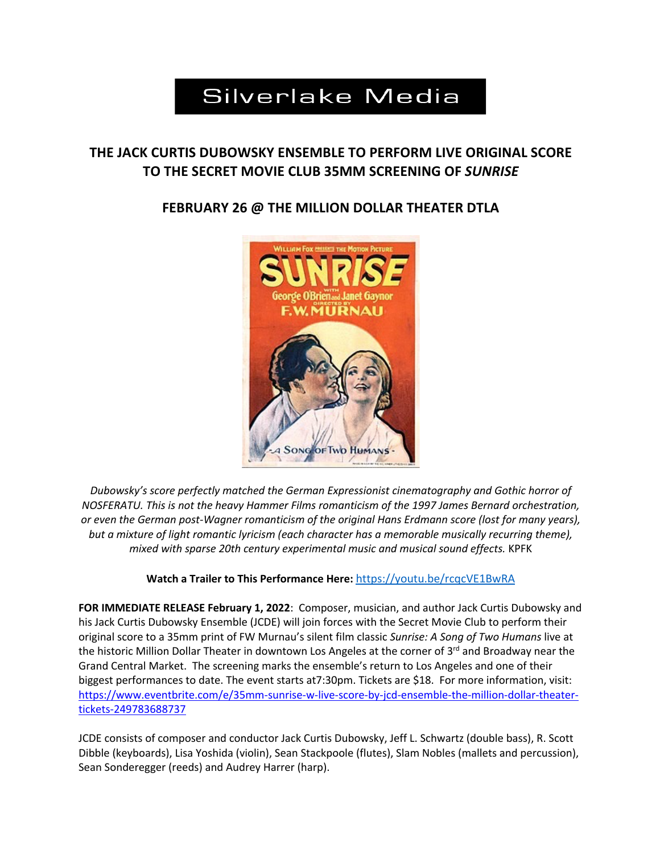# **Silverlake Media**

## **THE JACK CURTIS DUBOWSKY ENSEMBLE TO PERFORM LIVE ORIGINAL SCORE TO THE SECRET MOVIE CLUB 35MM SCREENING OF** *SUNRISE*

## **FEBRUARY 26 @ THE MILLION DOLLAR THEATER DTLA**



*Dubowsky's score perfectly matched the German Expressionist cinematography and Gothic horror of NOSFERATU. This is not the heavy Hammer Films romanticism of the 1997 James Bernard orchestration, or even the German post-Wagner romanticism of the original Hans Erdmann score (lost for many years), but a mixture of light romantic lyricism (each character has a memorable musically recurring theme), mixed with sparse 20th century experimental music and musical sound effects.* KPFK

**Watch a Trailer to This Performance Here:** https://youtu.be/rcqcVE1BwRA

**FOR IMMEDIATE RELEASE February 1, 2022**: Composer, musician, and author Jack Curtis Dubowsky and his Jack Curtis Dubowsky Ensemble (JCDE) will join forces with the Secret Movie Club to perform their original score to a 35mm print of FW Murnau's silent film classic *Sunrise: A Song of Two Humans* live at the historic Million Dollar Theater in downtown Los Angeles at the corner of  $3<sup>rd</sup>$  and Broadway near the Grand Central Market. The screening marks the ensemble's return to Los Angeles and one of their biggest performances to date. The event starts at7:30pm. Tickets are \$18. For more information, visit: https://www.eventbrite.com/e/35mm-sunrise-w-live-score-by-jcd-ensemble-the-million-dollar-theatertickets-249783688737

JCDE consists of composer and conductor Jack Curtis Dubowsky, Jeff L. Schwartz (double bass), R. Scott Dibble (keyboards), Lisa Yoshida (violin), Sean Stackpoole (flutes), Slam Nobles (mallets and percussion), Sean Sonderegger (reeds) and Audrey Harrer (harp).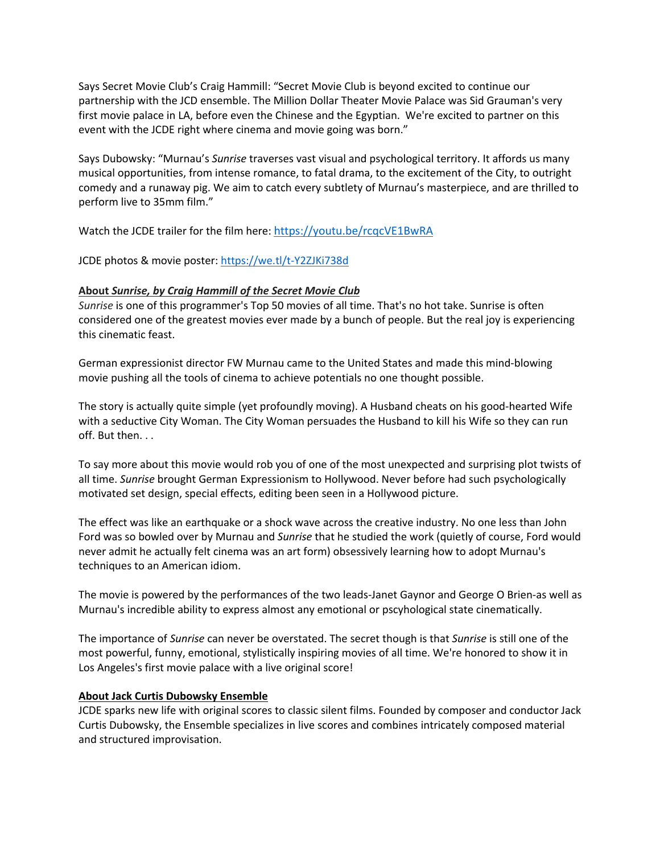Says Secret Movie Club's Craig Hammill: "Secret Movie Club is beyond excited to continue our partnership with the JCD ensemble. The Million Dollar Theater Movie Palace was Sid Grauman's very first movie palace in LA, before even the Chinese and the Egyptian. We're excited to partner on this event with the JCDE right where cinema and movie going was born."

Says Dubowsky: "Murnau's *Sunrise* traverses vast visual and psychological territory. It affords us many musical opportunities, from intense romance, to fatal drama, to the excitement of the City, to outright comedy and a runaway pig. We aim to catch every subtlety of Murnau's masterpiece, and are thrilled to perform live to 35mm film."

Watch the JCDE trailer for the film here: https://youtu.be/rcqcVE1BwRA

JCDE photos & movie poster: https://we.tl/t-Y2ZJKi738d

### **About** *Sunrise, by Craig Hammill of the Secret Movie Club*

*Sunrise* is one of this programmer's Top 50 movies of all time. That's no hot take. Sunrise is often considered one of the greatest movies ever made by a bunch of people. But the real joy is experiencing this cinematic feast.

German expressionist director FW Murnau came to the United States and made this mind-blowing movie pushing all the tools of cinema to achieve potentials no one thought possible.

The story is actually quite simple (yet profoundly moving). A Husband cheats on his good-hearted Wife with a seductive City Woman. The City Woman persuades the Husband to kill his Wife so they can run off. But then. . .

To say more about this movie would rob you of one of the most unexpected and surprising plot twists of all time. *Sunrise* brought German Expressionism to Hollywood. Never before had such psychologically motivated set design, special effects, editing been seen in a Hollywood picture.

The effect was like an earthquake or a shock wave across the creative industry. No one less than John Ford was so bowled over by Murnau and *Sunrise* that he studied the work (quietly of course, Ford would never admit he actually felt cinema was an art form) obsessively learning how to adopt Murnau's techniques to an American idiom.

The movie is powered by the performances of the two leads-Janet Gaynor and George O Brien-as well as Murnau's incredible ability to express almost any emotional or pscyhological state cinematically.

The importance of *Sunrise* can never be overstated. The secret though is that *Sunrise* is still one of the most powerful, funny, emotional, stylistically inspiring movies of all time. We're honored to show it in Los Angeles's first movie palace with a live original score!

#### **About Jack Curtis Dubowsky Ensemble**

JCDE sparks new life with original scores to classic silent films. Founded by composer and conductor Jack Curtis Dubowsky, the Ensemble specializes in live scores and combines intricately composed material and structured improvisation.